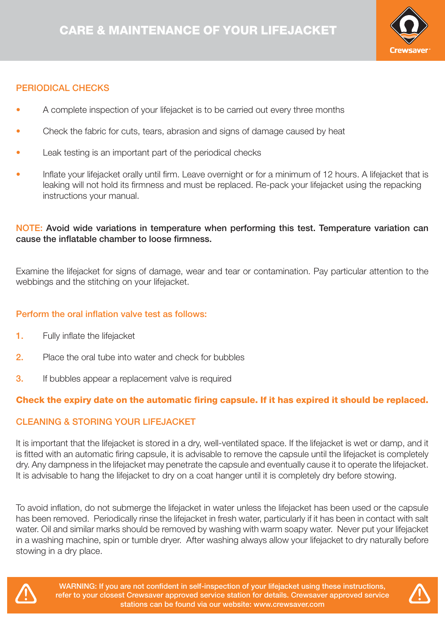

# PERIODICAL CHECKS

- A complete inspection of your lifejacket is to be carried out every three months
- Check the fabric for cuts, tears, abrasion and signs of damage caused by heat
- Leak testing is an important part of the periodical checks
- Inflate your lifejacket orally until firm. Leave overnight or for a minimum of 12 hours. A lifejacket that is leaking will not hold its firmness and must be replaced. Re-pack your lifejacket using the repacking instructions your manual.

## NOTE: Avoid wide variations in temperature when performing this test. Temperature variation can cause the inflatable chamber to loose firmness.

Examine the lifejacket for signs of damage, wear and tear or contamination. Pay particular attention to the webbings and the stitching on your lifejacket.

### Perform the oral inflation valve test as follows:

- 1. Fully inflate the lifejacket
- 2. Place the oral tube into water and check for bubbles
- **3.** If bubbles appear a replacement valve is required

# Check the expiry date on the automatic firing capsule. If it has expired it should be replaced.

## CLEANING & STORING YOUR LIFEJACKET

It is important that the lifejacket is stored in a dry, well-ventilated space. If the lifejacket is wet or damp, and it is fitted with an automatic firing capsule, it is advisable to remove the capsule until the lifejacket is completely dry. Any dampness in the lifejacket may penetrate the capsule and eventually cause it to operate the lifejacket. It is advisable to hang the lifejacket to dry on a coat hanger until it is completely dry before stowing.

To avoid inflation, do not submerge the lifejacket in water unless the lifejacket has been used or the capsule has been removed. Periodically rinse the lifejacket in fresh water, particularly if it has been in contact with salt water. Oil and similar marks should be removed by washing with warm soapy water. Never put your lifejacket in a washing machine, spin or tumble dryer. After washing always allow your lifejacket to dry naturally before stowing in a dry place.